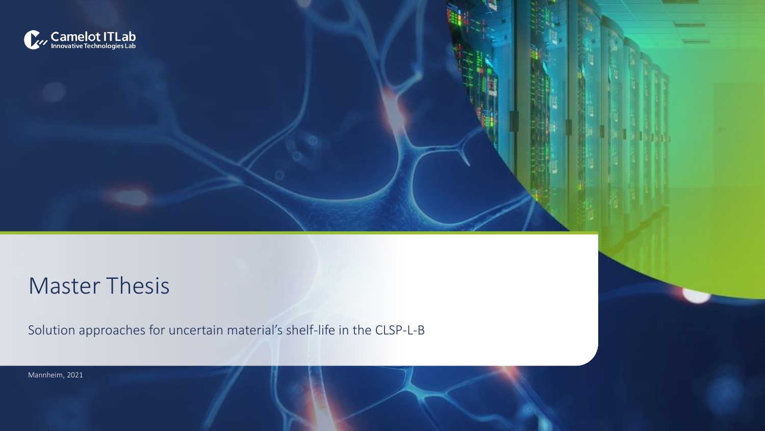

# Master Thesis

Solution approaches for uncertain material's shelf-life in the CLSP-L-B

Mannheim, 2021